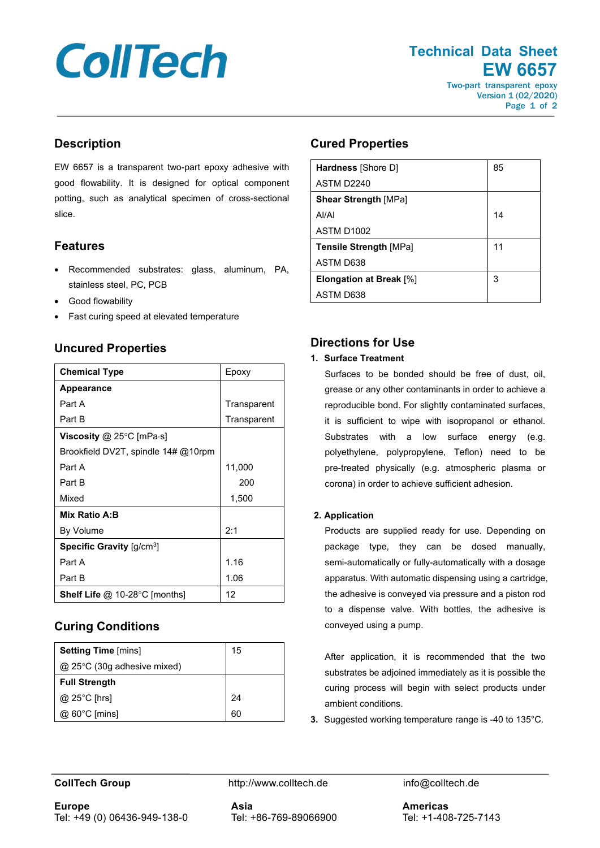# **CollTech**

**Technical Data Sheet EW 6657**

Two-part transparent epoxy Version 1 (02/2020) Page 1 of 2

# **Description**

EW 6657 is a transparent two-part epoxy adhesive with good flowability. It is designed for optical component potting, such as analytical specimen of cross-sectional slice.

# **Features**

- Recommended substrates: glass, aluminum, PA, stainless steel, PC, PCB
- Good flowability
- Fast curing speed at elevated temperature

# **Uncured Properties**

| <b>Chemical Type</b>                                  | Epoxy       |
|-------------------------------------------------------|-------------|
| <b>Appearance</b>                                     |             |
| Part A                                                | Transparent |
| Part B                                                | Transparent |
| Viscosity @ 25 $\degree$ C [mPa $\cdot$ s]            |             |
| Brookfield DV2T, spindle $14\# @ 10$ rpm              |             |
| Part A                                                | 11,000      |
| Part B                                                | 200         |
| Mixed                                                 | 1,500       |
| Mix Ratio A:B                                         |             |
| By Volume                                             | 2:1         |
| <b>Specific Gravity</b> $\left[\frac{q}{cm^3}\right]$ |             |
| Part A                                                | 1.16        |
| Part B                                                | 1.06        |
| <b>Shelf Life @ 10-28 °C [months]</b>                 | 12          |

# **Curing Conditions**

| <b>Setting Time [mins]</b>       | 15 |
|----------------------------------|----|
| $@$ 25 $°C$ (30g adhesive mixed) |    |
| <b>Full Strength</b>             |    |
| $@$ 25°C [hrs]                   | 24 |
| @ 60°C [mins]                    | 60 |

#### **Cured Properties**

| Hardness [Shore D]             | 85 |
|--------------------------------|----|
| ASTM D2240                     |    |
| <b>Shear Strength [MPa]</b>    |    |
| AI/AI                          | 14 |
| <b>ASTM D1002</b>              |    |
| <b>Tensile Strength [MPa]</b>  | 11 |
| ASTM D638                      |    |
| <b>Elongation at Break</b> [%] | 3  |
| ASTM D638                      |    |

# **Directions for Use**

#### **1. Surface Treatment**

Surfaces to be bonded should be free of dust, oil, grease or any other contaminants in order to achieve a reproducible bond. For slightly contaminated surfaces, it is sufficient to wipe with isopropanol or ethanol. Substrates with a low surface energy (e.g. polyethylene, polypropylene, Teflon) need to be pre-treated physically (e.g. atmospheric plasma or corona) in order to achieve sufficient adhesion.

#### **2. Application**

Products are supplied ready for use. Depending on package type, they can be dosed manually, semi-automatically or fully-automatically with a dosage apparatus. With automatic dispensing using a cartridge, the adhesive is conveyed via pressure and a piston rod to a dispense valve. With bottles, the adhesive is conveyed using a pump.

After application, it is recommended that the two substrates be adjoined immediately as it is possible the curing process will begin with select products under ambient conditions.

**3.** Suggested working temperature range is -40 to 135°C.

**Europe** Tel: +49 (0) 06436-949-138-0

**CollTech Group http://www.colltech.de** info@colltech.de

**Asia** Tel: +86-769-89066900

**Americas** Tel: +1-408-725-7143